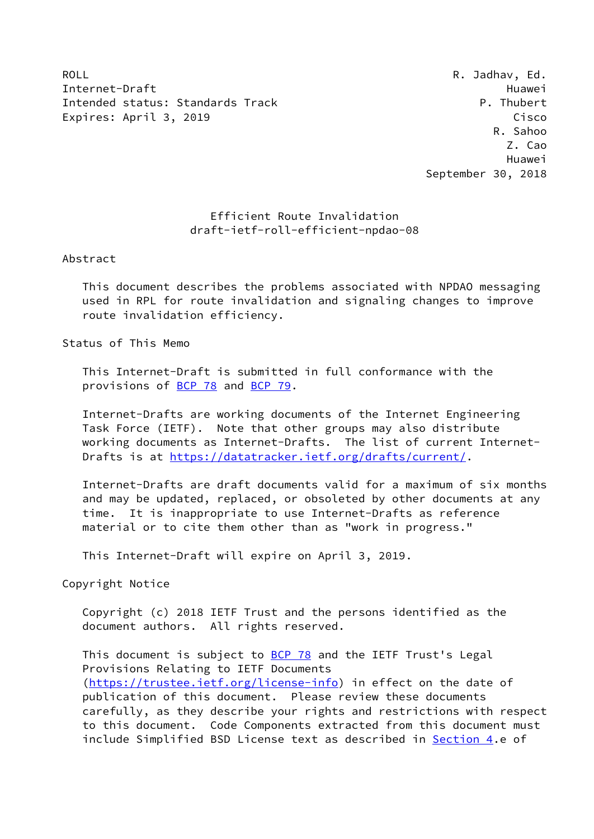ROLL ROLL ROLL RESERVED AS A RESERVED AS A RESERVED AS A VEHICLE AND RESERVED AS A RESERVED AS A RESERVED AS A RESERVED AS A RESERVED AS A RESERVED AS A RESERVED AS A RESERVED AS A RESERVED AS A RESERVED AS A RESERVED AS A Internet-Draft Huawei Intended status: Standards Track P. Thubert Expires: April 3, 2019 Cisco

 R. Sahoo Z. Cao Huawei September 30, 2018

## Efficient Route Invalidation draft-ietf-roll-efficient-npdao-08

## Abstract

 This document describes the problems associated with NPDAO messaging used in RPL for route invalidation and signaling changes to improve route invalidation efficiency.

Status of This Memo

 This Internet-Draft is submitted in full conformance with the provisions of [BCP 78](https://datatracker.ietf.org/doc/pdf/bcp78) and [BCP 79](https://datatracker.ietf.org/doc/pdf/bcp79).

 Internet-Drafts are working documents of the Internet Engineering Task Force (IETF). Note that other groups may also distribute working documents as Internet-Drafts. The list of current Internet- Drafts is at<https://datatracker.ietf.org/drafts/current/>.

 Internet-Drafts are draft documents valid for a maximum of six months and may be updated, replaced, or obsoleted by other documents at any time. It is inappropriate to use Internet-Drafts as reference material or to cite them other than as "work in progress."

This Internet-Draft will expire on April 3, 2019.

Copyright Notice

 Copyright (c) 2018 IETF Trust and the persons identified as the document authors. All rights reserved.

This document is subject to **[BCP 78](https://datatracker.ietf.org/doc/pdf/bcp78)** and the IETF Trust's Legal Provisions Relating to IETF Documents [\(https://trustee.ietf.org/license-info](https://trustee.ietf.org/license-info)) in effect on the date of publication of this document. Please review these documents carefully, as they describe your rights and restrictions with respect to this document. Code Components extracted from this document must include Simplified BSD License text as described in [Section 4.](#page-7-0)e of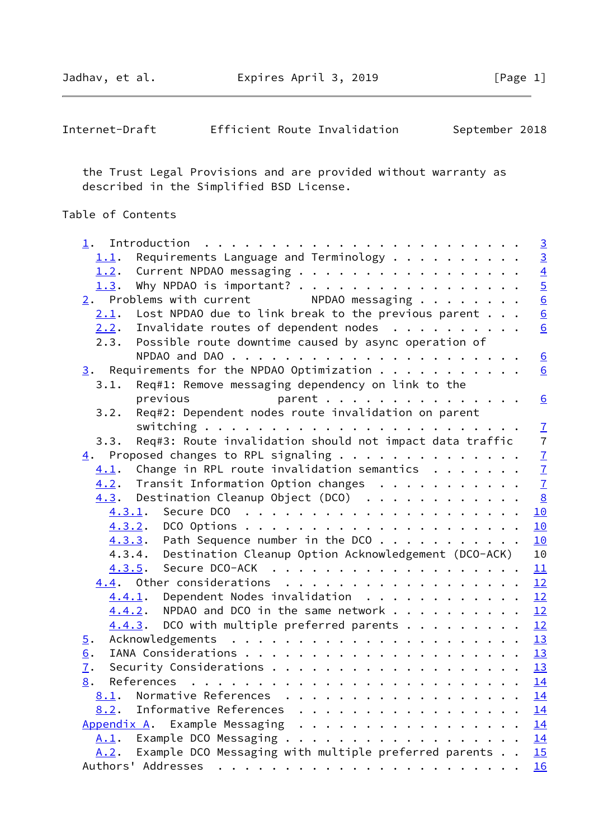| Internet-Draft |  |  | Efficient Route Invalidation | September 2018 |  |
|----------------|--|--|------------------------------|----------------|--|
|----------------|--|--|------------------------------|----------------|--|

 the Trust Legal Provisions and are provided without warranty as described in the Simplified BSD License.

# Table of Contents

|                  |                                                                                              | $\overline{3}$ |
|------------------|----------------------------------------------------------------------------------------------|----------------|
| 1.1.             | Requirements Language and Terminology $\dots$                                                | $\overline{3}$ |
| 1.2.             | Current NPDAO messaging                                                                      |                |
| 1.3.             | Why NPDAO is important?                                                                      |                |
|                  | $\frac{2}{2}$ . Problems with current NPDAO messaging                                        |                |
| 2.1.             | Lost NPDAO due to link break to the previous parent $\ldots$                                 | $\frac{4}{6}$  |
|                  | $2.2$ . Invalidate routes of dependent nodes                                                 | 6              |
|                  | 2.3. Possible route downtime caused by async operation of                                    |                |
|                  |                                                                                              | 6              |
|                  | $\underline{3}$ . Requirements for the NPDAO Optimization                                    | 6              |
| 3.1.             | Req#1: Remove messaging dependency on link to the                                            |                |
|                  | parent $\cdots$<br>previous                                                                  | 6              |
| 3.2.             | Req#2: Dependent nodes route invalidation on parent                                          |                |
|                  |                                                                                              | $\mathcal{I}$  |
| 3.3.             | Req#3: Route invalidation should not impact data traffic                                     | $\overline{7}$ |
|                  | $\underline{4}$ . Proposed changes to RPL signaling                                          |                |
|                  | $4.1$ . Change in RPL route invalidation semantics                                           | $\frac{7}{7}$  |
|                  | $4.2$ . Transit Information Option changes                                                   |                |
|                  | $\frac{8}{2}$<br>$4.3.$ Destination Cleanup Object (DCO) $\ldots$                            |                |
|                  | 10                                                                                           |                |
|                  | 10                                                                                           |                |
|                  | $4.3.3$ . Path Sequence number in the DCO<br>10                                              |                |
|                  | 4.3.4. Destination Cleanup Option Acknowledgement (DCO-ACK)<br>10                            |                |
|                  | 11<br>4.3.5.                                                                                 |                |
|                  | 12<br>4.4. Other considerations                                                              |                |
|                  | $4.4.1$ . Dependent Nodes invalidation<br>12                                                 |                |
|                  | $4.4.2$ . NPDAO and DCO in the same network<br>12                                            |                |
|                  | $4.4.3$ . DCO with multiple preferred parents<br>12                                          |                |
| 5.               |                                                                                              |                |
| 6.               |                                                                                              |                |
| $\overline{1}$ . |                                                                                              |                |
| 8.               | 14                                                                                           |                |
| 8.1.             | Normative References<br><u>14</u><br>$\cdot$ $\cdot$ $\cdot$ $\cdot$ $\cdot$ $\cdot$ $\cdot$ |                |
| 8.2.             | Informative References<br>14                                                                 |                |
| Appendix A.      | Example Messaging<br>.<br>14                                                                 |                |
| $A.1$ .          | 14                                                                                           |                |
| A.2.             | Example DCO Messaging with multiple preferred parents<br>15                                  |                |
|                  | 16                                                                                           |                |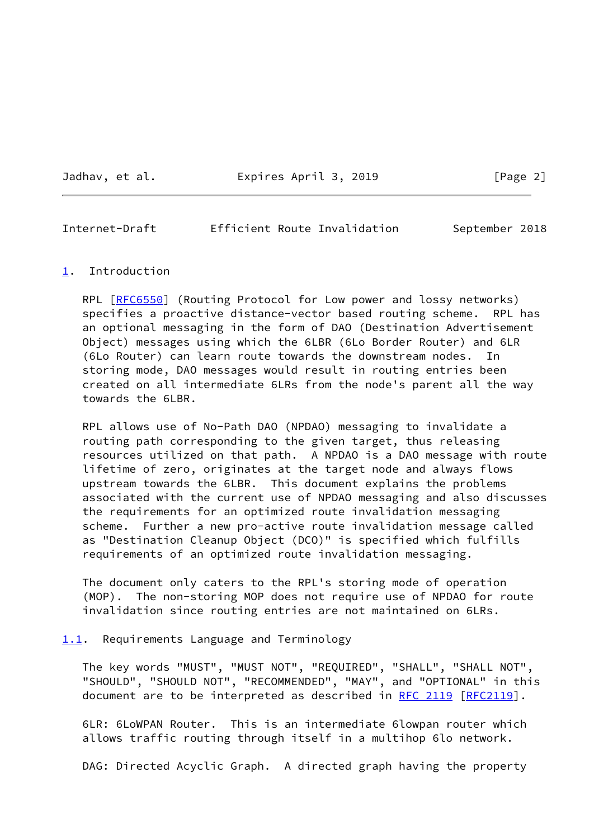Jadhav, et al. **Expires April 3, 2019** [Page 2]

<span id="page-2-1"></span>Internet-Draft Efficient Route Invalidation September 2018

#### <span id="page-2-0"></span>[1](#page-2-0). Introduction

RPL [\[RFC6550](https://datatracker.ietf.org/doc/pdf/rfc6550)] (Routing Protocol for Low power and lossy networks) specifies a proactive distance-vector based routing scheme. RPL has an optional messaging in the form of DAO (Destination Advertisement Object) messages using which the 6LBR (6Lo Border Router) and 6LR (6Lo Router) can learn route towards the downstream nodes. In storing mode, DAO messages would result in routing entries been created on all intermediate 6LRs from the node's parent all the way towards the 6LBR.

 RPL allows use of No-Path DAO (NPDAO) messaging to invalidate a routing path corresponding to the given target, thus releasing resources utilized on that path. A NPDAO is a DAO message with route lifetime of zero, originates at the target node and always flows upstream towards the 6LBR. This document explains the problems associated with the current use of NPDAO messaging and also discusses the requirements for an optimized route invalidation messaging scheme. Further a new pro-active route invalidation message called as "Destination Cleanup Object (DCO)" is specified which fulfills requirements of an optimized route invalidation messaging.

 The document only caters to the RPL's storing mode of operation (MOP). The non-storing MOP does not require use of NPDAO for route invalidation since routing entries are not maintained on 6LRs.

<span id="page-2-2"></span>[1.1](#page-2-2). Requirements Language and Terminology

 The key words "MUST", "MUST NOT", "REQUIRED", "SHALL", "SHALL NOT", "SHOULD", "SHOULD NOT", "RECOMMENDED", "MAY", and "OPTIONAL" in this document are to be interpreted as described in [RFC 2119 \[RFC2119](https://datatracker.ietf.org/doc/pdf/rfc2119)].

 6LR: 6LoWPAN Router. This is an intermediate 6lowpan router which allows traffic routing through itself in a multihop 6lo network.

DAG: Directed Acyclic Graph. A directed graph having the property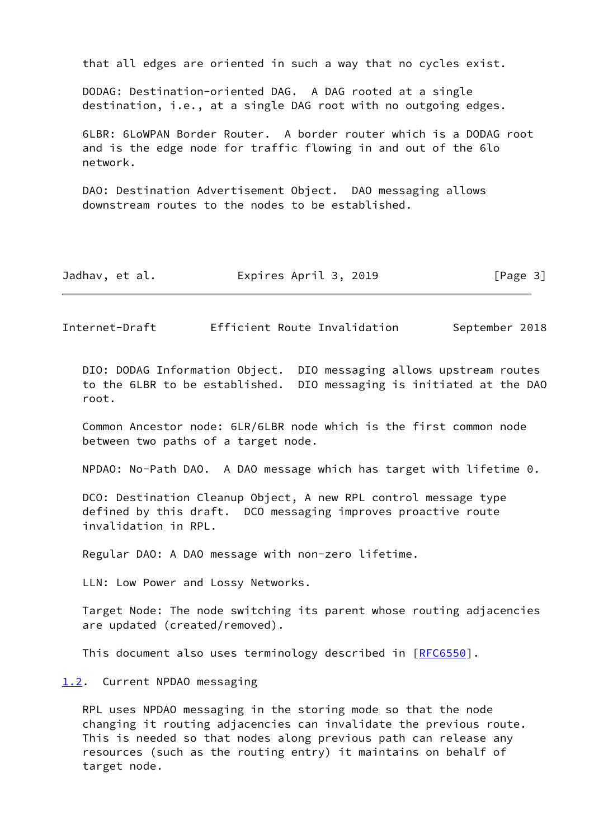that all edges are oriented in such a way that no cycles exist.

 DODAG: Destination-oriented DAG. A DAG rooted at a single destination, i.e., at a single DAG root with no outgoing edges.

 6LBR: 6LoWPAN Border Router. A border router which is a DODAG root and is the edge node for traffic flowing in and out of the 6lo network.

 DAO: Destination Advertisement Object. DAO messaging allows downstream routes to the nodes to be established.

| Jadhav, et al. | Expires April 3, 2019 | [Page 3] |
|----------------|-----------------------|----------|
|----------------|-----------------------|----------|

<span id="page-3-1"></span>Internet-Draft Efficient Route Invalidation September 2018

 DIO: DODAG Information Object. DIO messaging allows upstream routes to the 6LBR to be established. DIO messaging is initiated at the DAO root.

 Common Ancestor node: 6LR/6LBR node which is the first common node between two paths of a target node.

NPDAO: No-Path DAO. A DAO message which has target with lifetime 0.

 DCO: Destination Cleanup Object, A new RPL control message type defined by this draft. DCO messaging improves proactive route invalidation in RPL.

Regular DAO: A DAO message with non-zero lifetime.

LLN: Low Power and Lossy Networks.

 Target Node: The node switching its parent whose routing adjacencies are updated (created/removed).

This document also uses terminology described in [\[RFC6550](https://datatracker.ietf.org/doc/pdf/rfc6550)].

<span id="page-3-0"></span>[1.2](#page-3-0). Current NPDAO messaging

 RPL uses NPDAO messaging in the storing mode so that the node changing it routing adjacencies can invalidate the previous route. This is needed so that nodes along previous path can release any resources (such as the routing entry) it maintains on behalf of target node.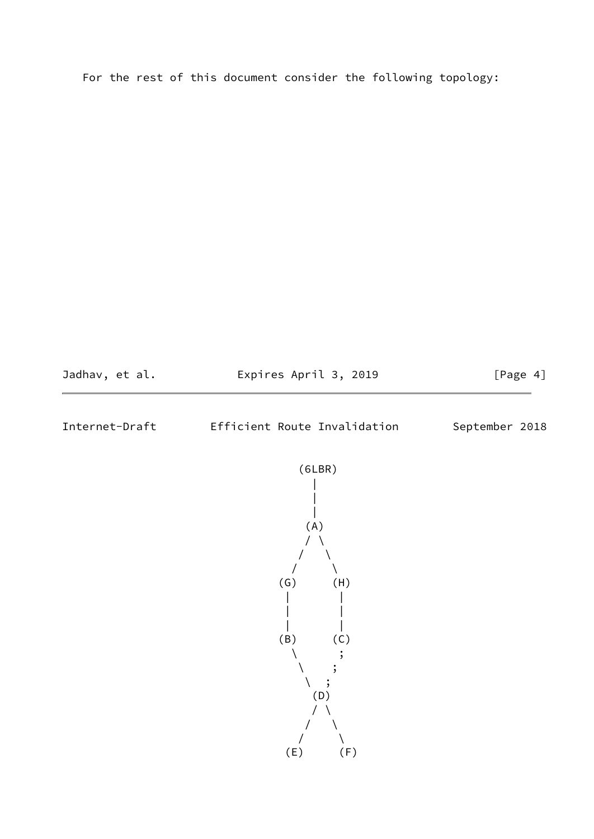For the rest of this document consider the following topology:



<span id="page-4-0"></span>Internet-Draft Efficient Route Invalidation September 2018

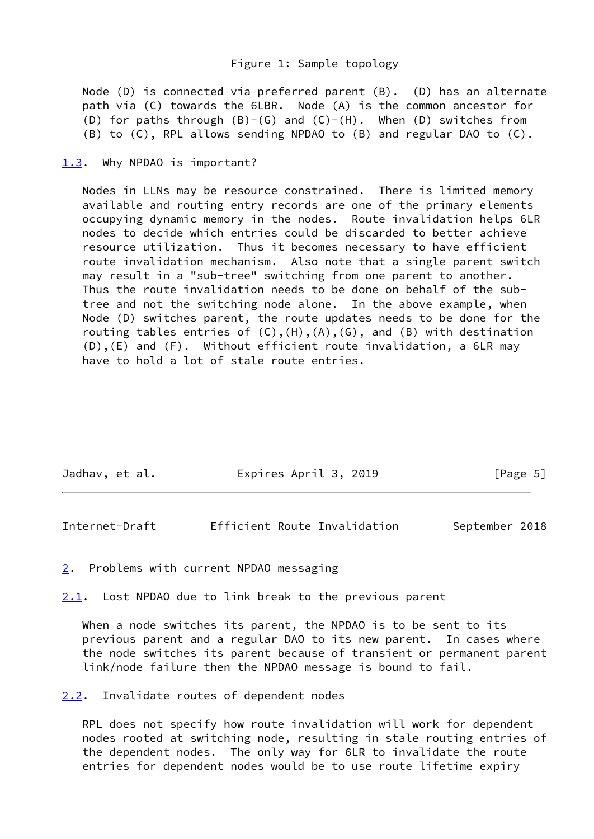Node (D) is connected via preferred parent (B). (D) has an alternate path via (C) towards the 6LBR. Node (A) is the common ancestor for (D) for paths through  $(B)-(G)$  and  $(C)-(H)$ . When  $(D)$  switches from (B) to (C), RPL allows sending NPDAO to (B) and regular DAO to (C).

#### <span id="page-5-0"></span>[1.3](#page-5-0). Why NPDAO is important?

 Nodes in LLNs may be resource constrained. There is limited memory available and routing entry records are one of the primary elements occupying dynamic memory in the nodes. Route invalidation helps 6LR nodes to decide which entries could be discarded to better achieve resource utilization. Thus it becomes necessary to have efficient route invalidation mechanism. Also note that a single parent switch may result in a "sub-tree" switching from one parent to another. Thus the route invalidation needs to be done on behalf of the sub tree and not the switching node alone. In the above example, when Node (D) switches parent, the route updates needs to be done for the routing tables entries of  $(C)$ ,  $(H)$ ,  $(A)$ ,  $(G)$ , and  $(B)$  with destination (D),(E) and (F). Without efficient route invalidation, a 6LR may have to hold a lot of stale route entries.

| Jadhav, et al. | Expires April 3, 2019 | [Page 5] |
|----------------|-----------------------|----------|
|                |                       |          |

<span id="page-5-2"></span>Internet-Draft Efficient Route Invalidation September 2018

<span id="page-5-1"></span>[2](#page-5-1). Problems with current NPDAO messaging

<span id="page-5-3"></span>[2.1](#page-5-3). Lost NPDAO due to link break to the previous parent

When a node switches its parent, the NPDAO is to be sent to its previous parent and a regular DAO to its new parent. In cases where the node switches its parent because of transient or permanent parent link/node failure then the NPDAO message is bound to fail.

<span id="page-5-4"></span>[2.2](#page-5-4). Invalidate routes of dependent nodes

 RPL does not specify how route invalidation will work for dependent nodes rooted at switching node, resulting in stale routing entries of the dependent nodes. The only way for 6LR to invalidate the route entries for dependent nodes would be to use route lifetime expiry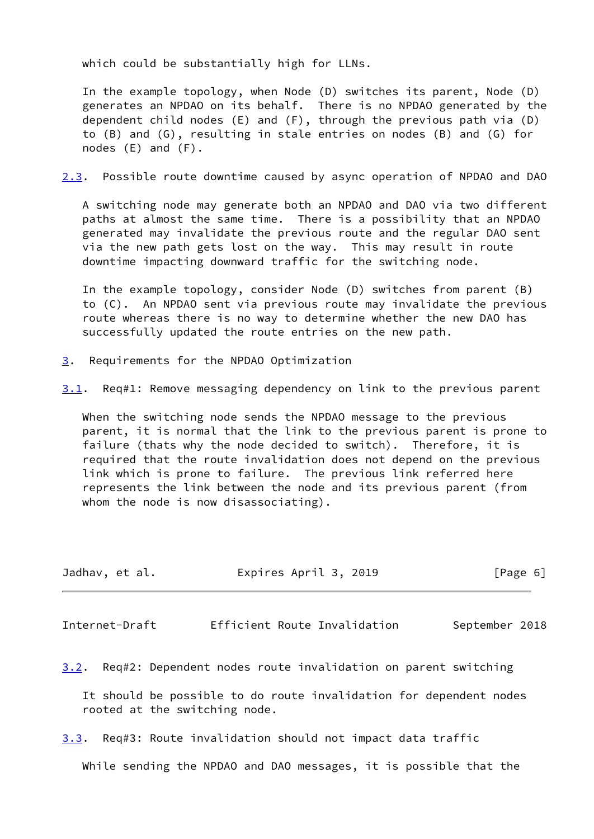which could be substantially high for LLNs.

 In the example topology, when Node (D) switches its parent, Node (D) generates an NPDAO on its behalf. There is no NPDAO generated by the dependent child nodes (E) and (F), through the previous path via (D) to (B) and (G), resulting in stale entries on nodes (B) and (G) for nodes (E) and (F).

<span id="page-6-2"></span>[2.3](#page-6-2). Possible route downtime caused by async operation of NPDAO and DAO

 A switching node may generate both an NPDAO and DAO via two different paths at almost the same time. There is a possibility that an NPDAO generated may invalidate the previous route and the regular DAO sent via the new path gets lost on the way. This may result in route downtime impacting downward traffic for the switching node.

 In the example topology, consider Node (D) switches from parent (B) to (C). An NPDAO sent via previous route may invalidate the previous route whereas there is no way to determine whether the new DAO has successfully updated the route entries on the new path.

- <span id="page-6-0"></span>[3](#page-6-0). Requirements for the NPDAO Optimization
- <span id="page-6-3"></span>[3.1](#page-6-3). Req#1: Remove messaging dependency on link to the previous parent

 When the switching node sends the NPDAO message to the previous parent, it is normal that the link to the previous parent is prone to failure (thats why the node decided to switch). Therefore, it is required that the route invalidation does not depend on the previous link which is prone to failure. The previous link referred here represents the link between the node and its previous parent (from whom the node is now disassociating).

| Jadhav, et al. | Expires April 3, 2019<br>[Page 6] |  |
|----------------|-----------------------------------|--|
|----------------|-----------------------------------|--|

<span id="page-6-1"></span>Internet-Draft Efficient Route Invalidation September 2018

<span id="page-6-4"></span>[3.2](#page-6-4). Req#2: Dependent nodes route invalidation on parent switching

 It should be possible to do route invalidation for dependent nodes rooted at the switching node.

<span id="page-6-5"></span>[3.3](#page-6-5). Req#3: Route invalidation should not impact data traffic

While sending the NPDAO and DAO messages, it is possible that the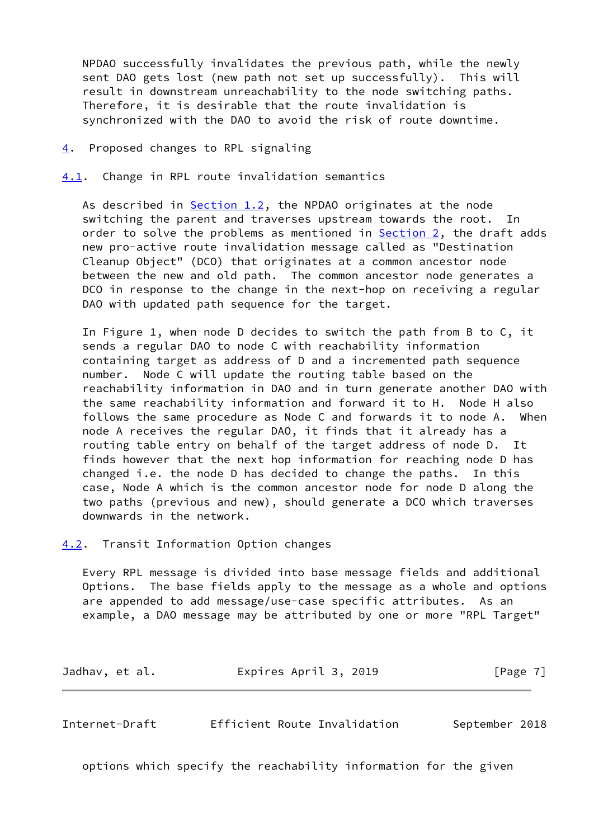NPDAO successfully invalidates the previous path, while the newly sent DAO gets lost (new path not set up successfully). This will result in downstream unreachability to the node switching paths. Therefore, it is desirable that the route invalidation is synchronized with the DAO to avoid the risk of route downtime.

### <span id="page-7-0"></span>[4](#page-7-0). Proposed changes to RPL signaling

<span id="page-7-1"></span>[4.1](#page-7-1). Change in RPL route invalidation semantics

As described in [Section 1.2](#page-3-0), the NPDAO originates at the node switching the parent and traverses upstream towards the root. In order to solve the problems as mentioned in [Section 2,](#page-5-1) the draft adds new pro-active route invalidation message called as "Destination Cleanup Object" (DCO) that originates at a common ancestor node between the new and old path. The common ancestor node generates a DCO in response to the change in the next-hop on receiving a regular DAO with updated path sequence for the target.

 In Figure 1, when node D decides to switch the path from B to C, it sends a regular DAO to node C with reachability information containing target as address of D and a incremented path sequence number. Node C will update the routing table based on the reachability information in DAO and in turn generate another DAO with the same reachability information and forward it to H. Node H also follows the same procedure as Node C and forwards it to node A. When node A receives the regular DAO, it finds that it already has a routing table entry on behalf of the target address of node D. It finds however that the next hop information for reaching node D has changed i.e. the node D has decided to change the paths. In this case, Node A which is the common ancestor node for node D along the two paths (previous and new), should generate a DCO which traverses downwards in the network.

<span id="page-7-2"></span>[4.2](#page-7-2). Transit Information Option changes

 Every RPL message is divided into base message fields and additional Options. The base fields apply to the message as a whole and options are appended to add message/use-case specific attributes. As an example, a DAO message may be attributed by one or more "RPL Target"

Jadhav, et al. **Expires April 3, 2019** [Page 7]

<span id="page-7-3"></span>Internet-Draft Efficient Route Invalidation September 2018

options which specify the reachability information for the given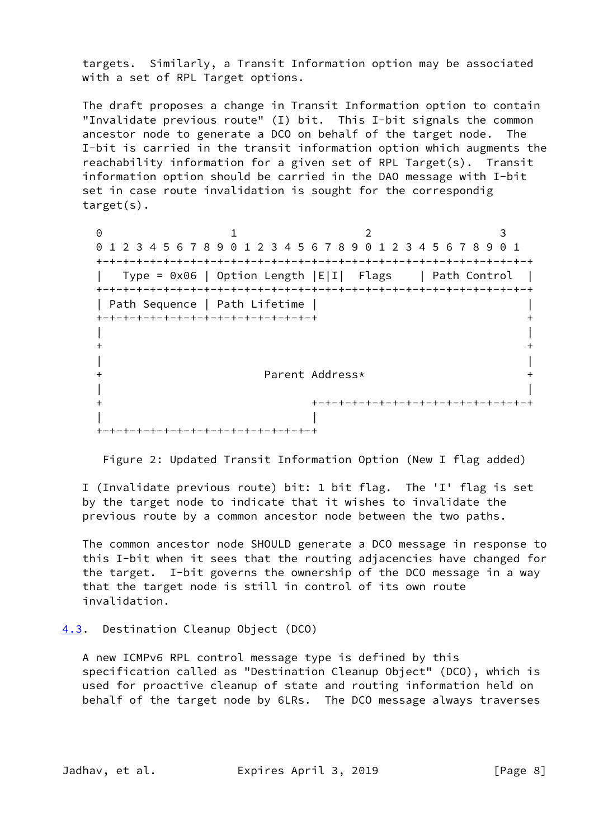targets. Similarly, a Transit Information option may be associated with a set of RPL Target options.

 The draft proposes a change in Transit Information option to contain "Invalidate previous route" (I) bit. This I-bit signals the common ancestor node to generate a DCO on behalf of the target node. The I-bit is carried in the transit information option which augments the reachability information for a given set of RPL Target(s). Transit information option should be carried in the DAO message with I-bit set in case route invalidation is sought for the correspondig target(s).

0 1 2 3 0 1 2 3 4 5 6 7 8 9 0 1 2 3 4 5 6 7 8 9 0 1 2 3 4 5 6 7 8 9 0 1 +-+-+-+-+-+-+-+-+-+-+-+-+-+-+-+-+-+-+-+-+-+-+-+-+-+-+-+-+-+-+-+-+ | Type = 0x06 | Option Length |E|I| Flags | Path Control | +-+-+-+-+-+-+-+-+-+-+-+-+-+-+-+-+-+-+-+-+-+-+-+-+-+-+-+-+-+-+-+-+ | Path Sequence | Path Lifetime | | +-+-+-+-+-+-+-+-+-+-+-+-+-+-+-+-+ + | |  $+$  +  $+$  +  $+$  +  $+$  +  $+$  +  $+$  +  $+$  +  $+$  +  $+$  +  $+$  +  $+$  +  $+$  +  $+$  +  $+$  +  $+$  +  $+$  +  $+$  +  $+$  +  $+$  +  $+$  +  $+$  +  $+$  +  $+$  +  $+$  +  $+$  +  $+$  +  $+$  +  $+$  +  $+$  +  $+$  +  $+$  +  $+$  +  $+$  +  $+$  +  $+$  +  $+$  +  $+$  + | | + Parent Address\* + | | + +-+-+-+-+-+-+-+-+-+-+-+-+-+-+-+-+ | | +-+-+-+-+-+-+-+-+-+-+-+-+-+-+-+-+

Figure 2: Updated Transit Information Option (New I flag added)

 I (Invalidate previous route) bit: 1 bit flag. The 'I' flag is set by the target node to indicate that it wishes to invalidate the previous route by a common ancestor node between the two paths.

 The common ancestor node SHOULD generate a DCO message in response to this I-bit when it sees that the routing adjacencies have changed for the target. I-bit governs the ownership of the DCO message in a way that the target node is still in control of its own route invalidation.

## <span id="page-8-0"></span>[4.3](#page-8-0). Destination Cleanup Object (DCO)

 A new ICMPv6 RPL control message type is defined by this specification called as "Destination Cleanup Object" (DCO), which is used for proactive cleanup of state and routing information held on behalf of the target node by 6LRs. The DCO message always traverses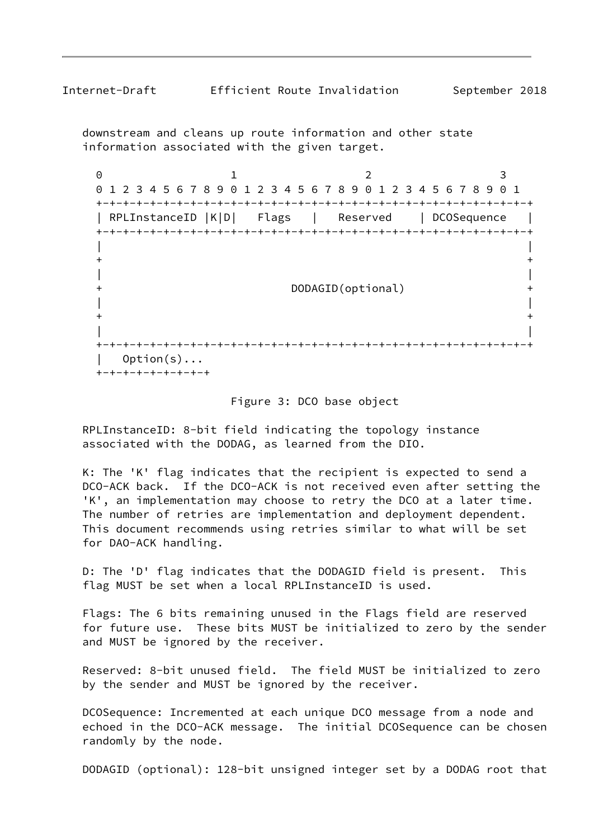downstream and cleans up route information and other state information associated with the given target.

0 1 2 3 0 1 2 3 4 5 6 7 8 9 0 1 2 3 4 5 6 7 8 9 0 1 2 3 4 5 6 7 8 9 0 1 +-+-+-+-+-+-+-+-+-+-+-+-+-+-+-+-+-+-+-+-+-+-+-+-+-+-+-+-+-+-+-+-+ | RPLInstanceID |K|D| Flags | Reserved | DCOSequence | +-+-+-+-+-+-+-+-+-+-+-+-+-+-+-+-+-+-+-+-+-+-+-+-+-+-+-+-+-+-+-+-+ | |  $+$  +  $+$  +  $+$  +  $+$  +  $+$  +  $+$  +  $+$  +  $+$  +  $+$  +  $+$  +  $+$  +  $+$  +  $+$  +  $+$  +  $+$  +  $+$  +  $+$  +  $+$  +  $+$  +  $+$  +  $+$  +  $+$  +  $+$  +  $+$  +  $+$  +  $+$  +  $+$  +  $+$  +  $+$  +  $+$  +  $+$  +  $+$  +  $+$  +  $+$  +  $+$  +  $+$  +  $+$  + | | + DODAGID(optional) + | |  $+$  +  $+$  +  $+$  +  $+$  +  $+$  +  $+$  +  $+$  +  $+$  +  $+$  +  $+$  +  $+$  +  $+$  +  $+$  +  $+$  +  $+$  +  $+$  +  $+$  +  $+$  +  $+$  +  $+$  +  $+$  +  $+$  +  $+$  +  $+$  +  $+$  +  $+$  +  $+$  +  $+$  +  $+$  +  $+$  +  $+$  +  $+$  +  $+$  +  $+$  +  $+$  +  $+$  +  $+$  + | | +-+-+-+-+-+-+-+-+-+-+-+-+-+-+-+-+-+-+-+-+-+-+-+-+-+-+-+-+-+-+-+-+  $Option(s) \ldots$ +-+-+-+-+-+-+-+-+

#### Figure 3: DCO base object

 RPLInstanceID: 8-bit field indicating the topology instance associated with the DODAG, as learned from the DIO.

 K: The 'K' flag indicates that the recipient is expected to send a DCO-ACK back. If the DCO-ACK is not received even after setting the 'K', an implementation may choose to retry the DCO at a later time. The number of retries are implementation and deployment dependent. This document recommends using retries similar to what will be set for DAO-ACK handling.

 D: The 'D' flag indicates that the DODAGID field is present. This flag MUST be set when a local RPLInstanceID is used.

 Flags: The 6 bits remaining unused in the Flags field are reserved for future use. These bits MUST be initialized to zero by the sender and MUST be ignored by the receiver.

 Reserved: 8-bit unused field. The field MUST be initialized to zero by the sender and MUST be ignored by the receiver.

 DCOSequence: Incremented at each unique DCO message from a node and echoed in the DCO-ACK message. The initial DCOSequence can be chosen randomly by the node.

DODAGID (optional): 128-bit unsigned integer set by a DODAG root that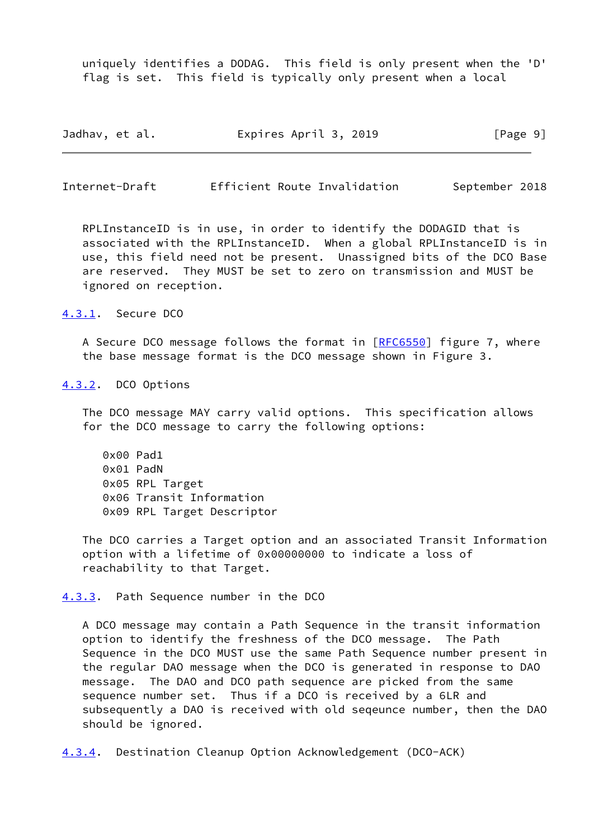uniquely identifies a DODAG. This field is only present when the 'D' flag is set. This field is typically only present when a local

| Jadhav, et al. | Expires April 3, 2019 | [Page 9] |
|----------------|-----------------------|----------|
|----------------|-----------------------|----------|

<span id="page-10-1"></span>Internet-Draft Efficient Route Invalidation September 2018

 RPLInstanceID is in use, in order to identify the DODAGID that is associated with the RPLInstanceID. When a global RPLInstanceID is in use, this field need not be present. Unassigned bits of the DCO Base are reserved. They MUST be set to zero on transmission and MUST be ignored on reception.

<span id="page-10-0"></span>[4.3.1](#page-10-0). Secure DCO

 A Secure DCO message follows the format in [[RFC6550\]](https://datatracker.ietf.org/doc/pdf/rfc6550) figure 7, where the base message format is the DCO message shown in Figure 3.

## <span id="page-10-2"></span>[4.3.2](#page-10-2). DCO Options

 The DCO message MAY carry valid options. This specification allows for the DCO message to carry the following options:

 0x00 Pad1 0x01 PadN 0x05 RPL Target 0x06 Transit Information 0x09 RPL Target Descriptor

 The DCO carries a Target option and an associated Transit Information option with a lifetime of 0x00000000 to indicate a loss of reachability to that Target.

<span id="page-10-3"></span>[4.3.3](#page-10-3). Path Sequence number in the DCO

 A DCO message may contain a Path Sequence in the transit information option to identify the freshness of the DCO message. The Path Sequence in the DCO MUST use the same Path Sequence number present in the regular DAO message when the DCO is generated in response to DAO message. The DAO and DCO path sequence are picked from the same sequence number set. Thus if a DCO is received by a 6LR and subsequently a DAO is received with old seqeunce number, then the DAO should be ignored.

<span id="page-10-4"></span>[4.3.4](#page-10-4). Destination Cleanup Option Acknowledgement (DCO-ACK)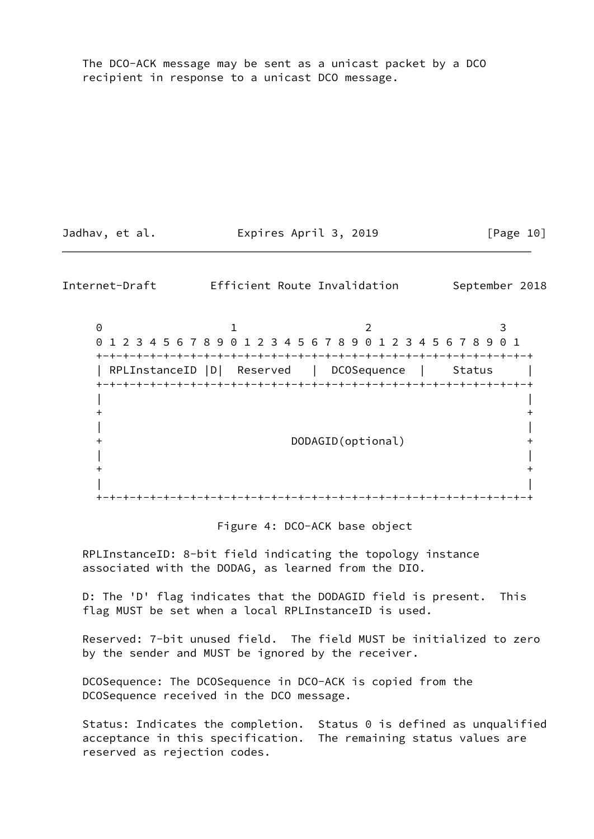The DCO-ACK message may be sent as a unicast packet by a DCO recipient in response to a unicast DCO message.

Jadhav, et al. **Expires April 3, 2019** [Page 10]

<span id="page-11-0"></span>Internet-Draft Efficient Route Invalidation September 2018

0 1 2 3 0 1 2 3 4 5 6 7 8 9 0 1 2 3 4 5 6 7 8 9 0 1 2 3 4 5 6 7 8 9 0 1 +-+-+-+-+-+-+-+-+-+-+-+-+-+-+-+-+-+-+-+-+-+-+-+-+-+-+-+-+-+-+-+-+ | RPLInstanceID |D| Reserved | DCOSequence | Status | +-+-+-+-+-+-+-+-+-+-+-+-+-+-+-+-+-+-+-+-+-+-+-+-+-+-+-+-+-+-+-+-+ | |  $+$  +  $+$  +  $+$  +  $+$  +  $+$  +  $+$  +  $+$  +  $+$  +  $+$  +  $+$  +  $+$  +  $+$  +  $+$  +  $+$  +  $+$  +  $+$  +  $+$  +  $+$  +  $+$  +  $+$  +  $+$  +  $+$  +  $+$  +  $+$  +  $+$  +  $+$  +  $+$  +  $+$  +  $+$  +  $+$  +  $+$  +  $+$  +  $+$  +  $+$  +  $+$  +  $+$  +  $+$  + | | + DODAGID(optional) + | |  $+$  +  $+$  +  $+$  +  $+$  +  $+$  +  $+$  +  $+$  +  $+$  +  $+$  +  $+$  +  $+$  +  $+$  +  $+$  +  $+$  +  $+$  +  $+$  +  $+$  +  $+$  +  $+$  +  $+$  +  $+$  +  $+$  +  $+$  +  $+$  +  $+$  +  $+$  +  $+$  +  $+$  +  $+$  +  $+$  +  $+$  +  $+$  +  $+$  +  $+$  +  $+$  +  $+$  +  $+$  + | | +-+-+-+-+-+-+-+-+-+-+-+-+-+-+-+-+-+-+-+-+-+-+-+-+-+-+-+-+-+-+-+-+

#### Figure 4: DCO-ACK base object

 RPLInstanceID: 8-bit field indicating the topology instance associated with the DODAG, as learned from the DIO.

 D: The 'D' flag indicates that the DODAGID field is present. This flag MUST be set when a local RPLInstanceID is used.

 Reserved: 7-bit unused field. The field MUST be initialized to zero by the sender and MUST be ignored by the receiver.

 DCOSequence: The DCOSequence in DCO-ACK is copied from the DCOSequence received in the DCO message.

 Status: Indicates the completion. Status 0 is defined as unqualified acceptance in this specification. The remaining status values are reserved as rejection codes.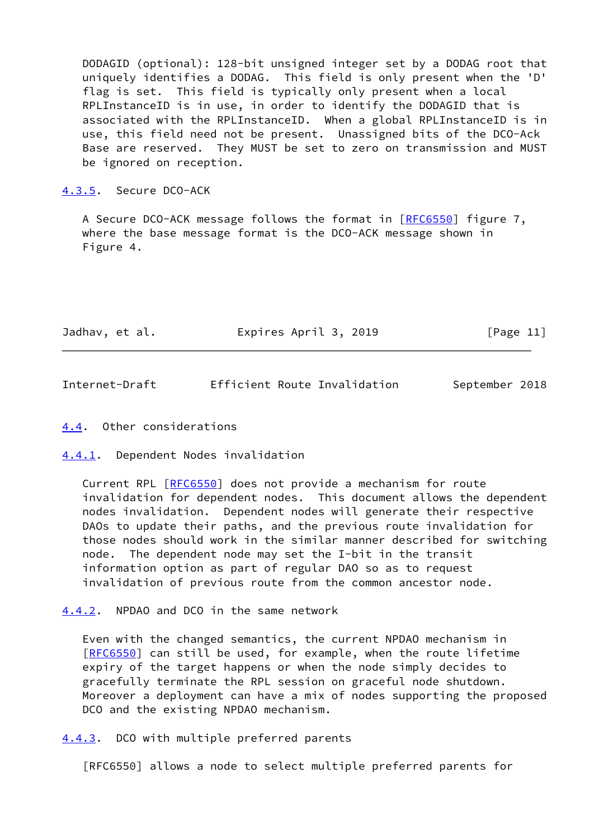DODAGID (optional): 128-bit unsigned integer set by a DODAG root that uniquely identifies a DODAG. This field is only present when the 'D' flag is set. This field is typically only present when a local RPLInstanceID is in use, in order to identify the DODAGID that is associated with the RPLInstanceID. When a global RPLInstanceID is in use, this field need not be present. Unassigned bits of the DCO-Ack Base are reserved. They MUST be set to zero on transmission and MUST be ignored on reception.

<span id="page-12-0"></span>[4.3.5](#page-12-0). Secure DCO-ACK

A Secure DCO-ACK message follows the format in [\[RFC6550](https://datatracker.ietf.org/doc/pdf/rfc6550)] figure 7, where the base message format is the DCO-ACK message shown in Figure 4.

| Jadhav, et al. | Expires April 3, 2019 | [Page 11] |
|----------------|-----------------------|-----------|
|----------------|-----------------------|-----------|

<span id="page-12-2"></span>Internet-Draft Efficient Route Invalidation September 2018

<span id="page-12-1"></span>[4.4](#page-12-1). Other considerations

<span id="page-12-3"></span>[4.4.1](#page-12-3). Dependent Nodes invalidation

 Current RPL [\[RFC6550](https://datatracker.ietf.org/doc/pdf/rfc6550)] does not provide a mechanism for route invalidation for dependent nodes. This document allows the dependent nodes invalidation. Dependent nodes will generate their respective DAOs to update their paths, and the previous route invalidation for those nodes should work in the similar manner described for switching node. The dependent node may set the I-bit in the transit information option as part of regular DAO so as to request invalidation of previous route from the common ancestor node.

<span id="page-12-4"></span>[4.4.2](#page-12-4). NPDAO and DCO in the same network

 Even with the changed semantics, the current NPDAO mechanism in [\[RFC6550](https://datatracker.ietf.org/doc/pdf/rfc6550)] can still be used, for example, when the route lifetime expiry of the target happens or when the node simply decides to gracefully terminate the RPL session on graceful node shutdown. Moreover a deployment can have a mix of nodes supporting the proposed DCO and the existing NPDAO mechanism.

<span id="page-12-5"></span>[4.4.3](#page-12-5). DCO with multiple preferred parents

[RFC6550] allows a node to select multiple preferred parents for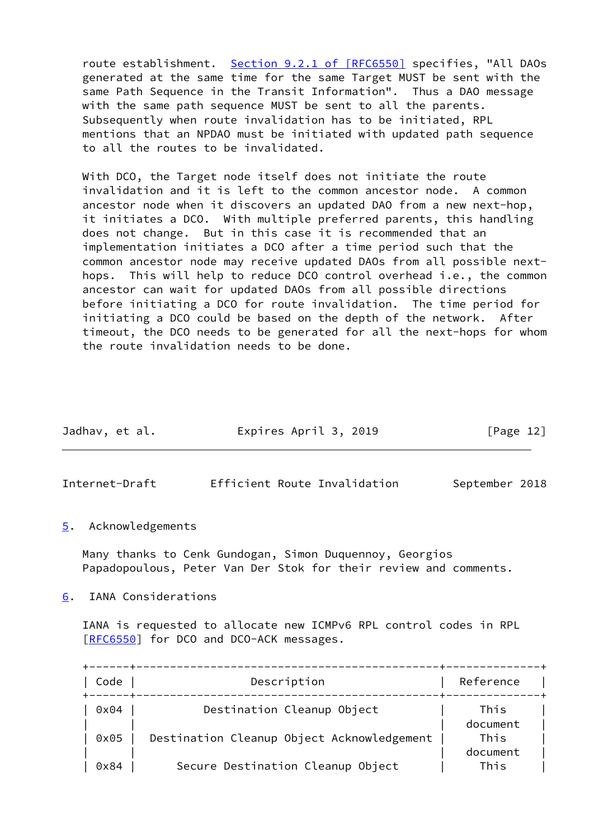route establishment. Section [9.2.1 of \[RFC6550\]](https://datatracker.ietf.org/doc/pdf/rfc6550#section-9.2.1) specifies, "All DAOs generated at the same time for the same Target MUST be sent with the same Path Sequence in the Transit Information". Thus a DAO message with the same path sequence MUST be sent to all the parents. Subsequently when route invalidation has to be initiated, RPL mentions that an NPDAO must be initiated with updated path sequence to all the routes to be invalidated.

 With DCO, the Target node itself does not initiate the route invalidation and it is left to the common ancestor node. A common ancestor node when it discovers an updated DAO from a new next-hop, it initiates a DCO. With multiple preferred parents, this handling does not change. But in this case it is recommended that an implementation initiates a DCO after a time period such that the common ancestor node may receive updated DAOs from all possible next hops. This will help to reduce DCO control overhead i.e., the common ancestor can wait for updated DAOs from all possible directions before initiating a DCO for route invalidation. The time period for initiating a DCO could be based on the depth of the network. After timeout, the DCO needs to be generated for all the next-hops for whom the route invalidation needs to be done.

| Jadhav, et al. | Expires April 3, 2019 | [Page 12] |
|----------------|-----------------------|-----------|
|                |                       |           |

<span id="page-13-1"></span>Internet-Draft Efficient Route Invalidation September 2018

<span id="page-13-0"></span>[5](#page-13-0). Acknowledgements

 Many thanks to Cenk Gundogan, Simon Duquennoy, Georgios Papadopoulous, Peter Van Der Stok for their review and comments.

<span id="page-13-2"></span>[6](#page-13-2). IANA Considerations

 IANA is requested to allocate new ICMPv6 RPL control codes in RPL [\[RFC6550](https://datatracker.ietf.org/doc/pdf/rfc6550)] for DCO and DCO-ACK messages.

| Code | Description                                | Reference        |
|------|--------------------------------------------|------------------|
| 0x04 | Destination Cleanup Object                 | This             |
| 0x05 | Destination Cleanup Object Acknowledgement | document<br>This |
|      |                                            | document         |
| 0x84 | Secure Destination Cleanup Object          | This             |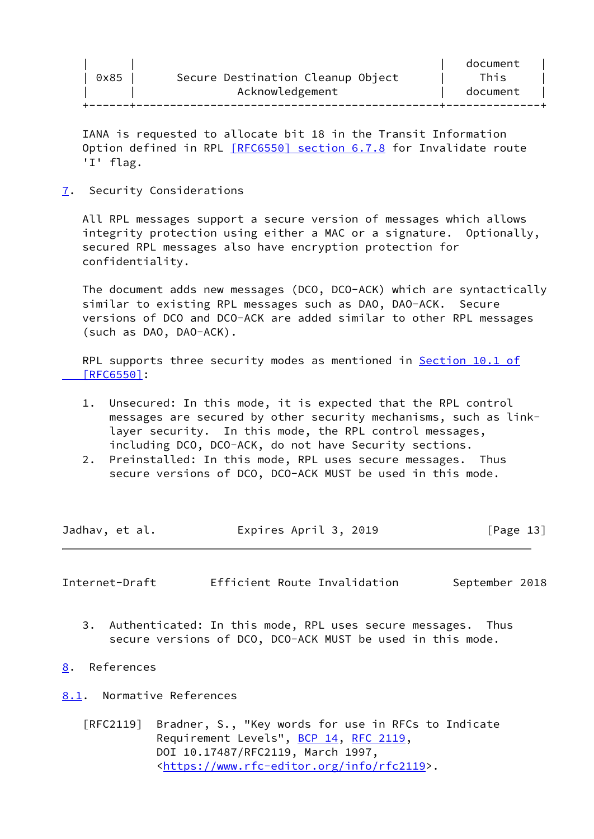IANA is requested to allocate bit 18 in the Transit Information Option defined in RPL [\[RFC6550\] section](https://datatracker.ietf.org/doc/pdf/rfc6550#section-6.7.8) 6.7.8 for Invalidate route 'I' flag.

<span id="page-14-0"></span>[7](#page-14-0). Security Considerations

 All RPL messages support a secure version of messages which allows integrity protection using either a MAC or a signature. Optionally, secured RPL messages also have encryption protection for confidentiality.

 The document adds new messages (DCO, DCO-ACK) which are syntactically similar to existing RPL messages such as DAO, DAO-ACK. Secure versions of DCO and DCO-ACK are added similar to other RPL messages (such as DAO, DAO-ACK).

RPL supports three security modes as mentioned in [Section](https://datatracker.ietf.org/doc/pdf/rfc6550#section-10.1) 10.1 of  [\[RFC6550\]](https://datatracker.ietf.org/doc/pdf/rfc6550#section-10.1):

- 1. Unsecured: In this mode, it is expected that the RPL control messages are secured by other security mechanisms, such as link layer security. In this mode, the RPL control messages, including DCO, DCO-ACK, do not have Security sections.
- 2. Preinstalled: In this mode, RPL uses secure messages. Thus secure versions of DCO, DCO-ACK MUST be used in this mode.

| Jadhav, et al. | Expires April 3, 2019 | [Page 13] |
|----------------|-----------------------|-----------|
|                |                       |           |

<span id="page-14-2"></span>Internet-Draft Efficient Route Invalidation September 2018

- 3. Authenticated: In this mode, RPL uses secure messages. Thus secure versions of DCO, DCO-ACK MUST be used in this mode.
- <span id="page-14-1"></span>[8](#page-14-1). References

<span id="page-14-3"></span>[8.1](#page-14-3). Normative References

 [RFC2119] Bradner, S., "Key words for use in RFCs to Indicate Requirement Levels", [BCP 14](https://datatracker.ietf.org/doc/pdf/bcp14), [RFC 2119](https://datatracker.ietf.org/doc/pdf/rfc2119), DOI 10.17487/RFC2119, March 1997, <[https://www.rfc-editor.org/info/rfc2119>](https://www.rfc-editor.org/info/rfc2119).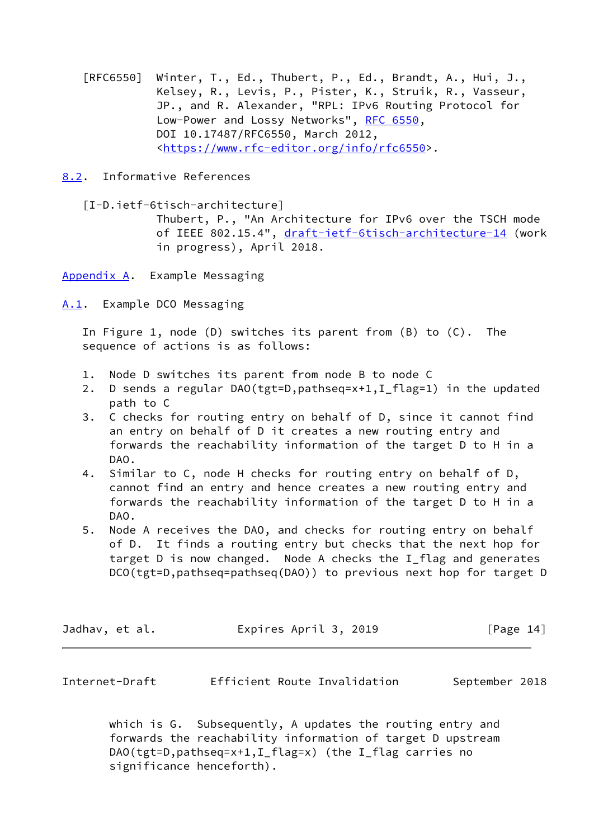[RFC6550] Winter, T., Ed., Thubert, P., Ed., Brandt, A., Hui, J., Kelsey, R., Levis, P., Pister, K., Struik, R., Vasseur, JP., and R. Alexander, "RPL: IPv6 Routing Protocol for Low-Power and Lossy Networks", [RFC 6550](https://datatracker.ietf.org/doc/pdf/rfc6550), DOI 10.17487/RFC6550, March 2012, <[https://www.rfc-editor.org/info/rfc6550>](https://www.rfc-editor.org/info/rfc6550).

<span id="page-15-0"></span>[8.2](#page-15-0). Informative References

[I-D.ietf-6tisch-architecture]

 Thubert, P., "An Architecture for IPv6 over the TSCH mode of IEEE 802.15.4", [draft-ietf-6tisch-architecture-14](https://datatracker.ietf.org/doc/pdf/draft-ietf-6tisch-architecture-14) (work in progress), April 2018.

<span id="page-15-1"></span>[Appendix A.](#page-15-1) Example Messaging

<span id="page-15-2"></span>[A.1](#page-15-2). Example DCO Messaging

 In Figure 1, node (D) switches its parent from (B) to (C). The sequence of actions is as follows:

- 1. Node D switches its parent from node B to node C
- 2. D sends a regular DAO(tgt=D,pathseq=x+1,I\_flag=1) in the updated path to C
- 3. C checks for routing entry on behalf of D, since it cannot find an entry on behalf of D it creates a new routing entry and forwards the reachability information of the target D to H in a DAO.
- 4. Similar to C, node H checks for routing entry on behalf of D, cannot find an entry and hence creates a new routing entry and forwards the reachability information of the target D to H in a DAO.
- 5. Node A receives the DAO, and checks for routing entry on behalf of D. It finds a routing entry but checks that the next hop for target D is now changed. Node A checks the I\_flag and generates DCO(tgt=D,pathseq=pathseq(DAO)) to previous next hop for target D

| Jadhav, et al. | Expires April 3, 2019 | [Page 14] |
|----------------|-----------------------|-----------|
|----------------|-----------------------|-----------|

<span id="page-15-3"></span>

| Internet-Draft | Efficient Route Invalidation |  | September 2018 |  |
|----------------|------------------------------|--|----------------|--|
|----------------|------------------------------|--|----------------|--|

 which is G. Subsequently, A updates the routing entry and forwards the reachability information of target D upstream DAO(tgt=D,pathseq=x+1,I\_flag=x) (the I\_flag carries no significance henceforth).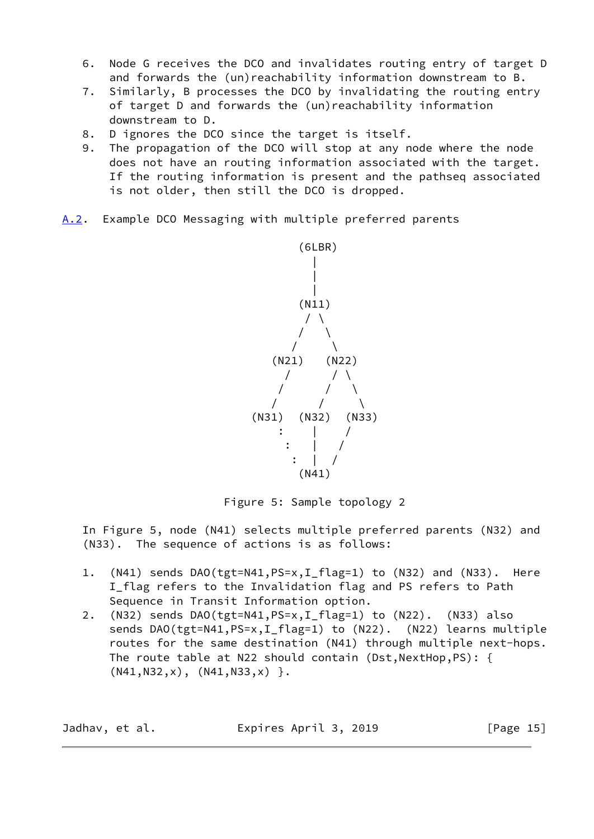- 6. Node G receives the DCO and invalidates routing entry of target D and forwards the (un)reachability information downstream to B.
- 7. Similarly, B processes the DCO by invalidating the routing entry of target D and forwards the (un)reachability information downstream to D.
- 8. D ignores the DCO since the target is itself.
- 9. The propagation of the DCO will stop at any node where the node does not have an routing information associated with the target. If the routing information is present and the pathseq associated is not older, then still the DCO is dropped.
- <span id="page-16-0"></span>[A.2](#page-16-0). Example DCO Messaging with multiple preferred parents



Figure 5: Sample topology 2

 In Figure 5, node (N41) selects multiple preferred parents (N32) and (N33). The sequence of actions is as follows:

- 1. (N41) sends DAO(tgt=N41,PS=x,I\_flag=1) to (N32) and (N33). Here I flag refers to the Invalidation flag and PS refers to Path Sequence in Transit Information option.
- 2. (N32) sends DAO(tgt=N41,PS=x,I\_flag=1) to (N22). (N33) also sends DAO(tgt=N41,PS=x,I\_flag=1) to (N22). (N22) learns multiple routes for the same destination (N41) through multiple next-hops. The route table at N22 should contain (Dst, NextHop, PS): {  $(N41,N32,x), (N41,N33,x)$  }.

| Expires April 3, 2019<br>Jadhav, et al. | [Page 15] |
|-----------------------------------------|-----------|
|-----------------------------------------|-----------|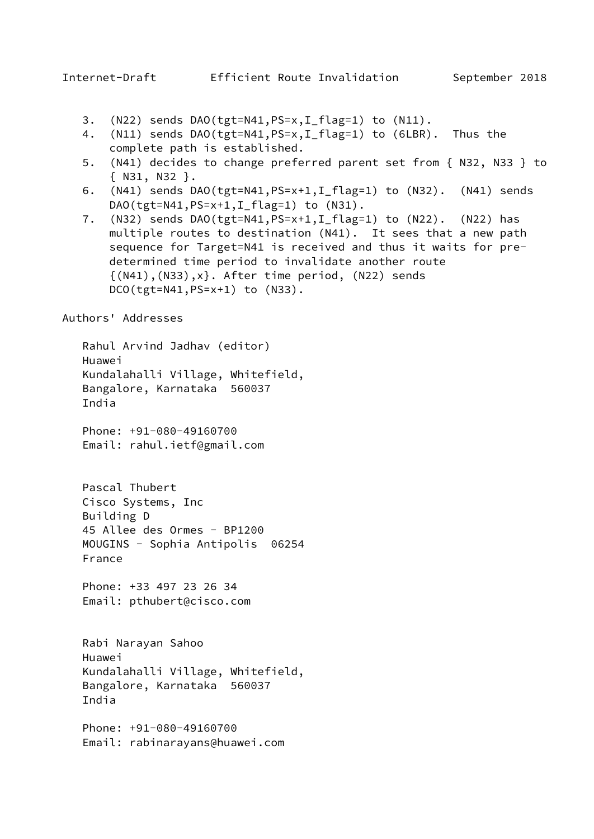- <span id="page-17-0"></span>3. (N22) sends DAO(tgt=N41,PS=x,I\_flag=1) to (N11).
- 4. (N11) sends DAO(tgt=N41,PS=x,I\_flag=1) to (6LBR). Thus the complete path is established.
- 5. (N41) decides to change preferred parent set from { N32, N33 } to { N31, N32 }.
- 6. (N41) sends DAO(tgt=N41,PS=x+1,I\_flag=1) to (N32). (N41) sends DAO(tgt=N41, PS=x+1, I\_flag=1) to (N31).
- 7. (N32) sends DAO(tgt=N41,PS=x+1,I\_flag=1) to (N22). (N22) has multiple routes to destination (N41). It sees that a new path sequence for Target=N41 is received and thus it waits for pre determined time period to invalidate another route  $\{(N41), (N33), x\}$ . After time period,  $(N22)$  sends DCO(tgt=N41,PS=x+1) to (N33).

## Authors' Addresses

 Rahul Arvind Jadhav (editor) Huawei Kundalahalli Village, Whitefield, Bangalore, Karnataka 560037 India

 Phone: +91-080-49160700 Email: rahul.ietf@gmail.com

 Pascal Thubert Cisco Systems, Inc Building D 45 Allee des Ormes - BP1200 MOUGINS - Sophia Antipolis 06254 France

 Phone: +33 497 23 26 34 Email: pthubert@cisco.com

 Rabi Narayan Sahoo Huawei Kundalahalli Village, Whitefield, Bangalore, Karnataka 560037 India

 Phone: +91-080-49160700 Email: rabinarayans@huawei.com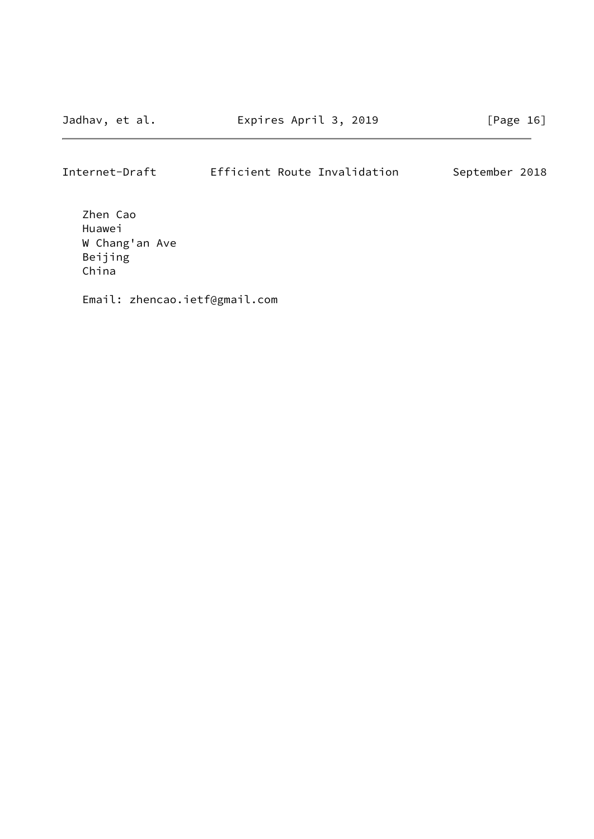# Internet-Draft Efficient Route Invalidation September 2018

 Zhen Cao Huawei W Chang'an Ave Beijing China

Email: zhencao.ietf@gmail.com